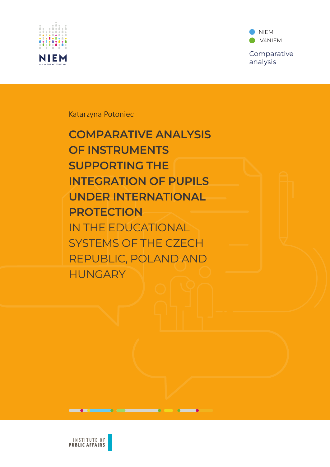

NIEM n **V4NIEM** Comparative analysis

Katarzyna Potoniec

**COMPARATIVE ANALYSIS OF INSTRUMENTS SUPPORTING THE INTEGRATION OF PUPILS UNDER INTERNATIONAL PROTECTION** IN THE EDUCATIONAL SYSTEMS OF THE CZECH REPUBLIC, POLAND AND **HUNGARY** 



 $\bullet$  0

 $\overline{\phantom{a}}$  . The contract of  $\overline{\phantom{a}}$ 

 $\bullet$   $\bullet$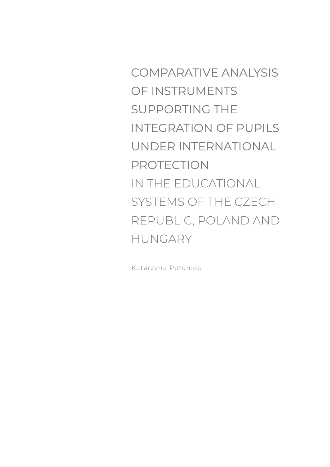COMPARATIVE ANALYSIS OF INSTRUMENTS SUPPORTING THE INTEGRATION OF PUPILS UNDER INTERNATIONAL PROTECTION IN THE EDUCATIONAL SYSTEMS OF THE CZECH REPUBLIC, POLAND AND HUNGARY

Katarzyna Potoniec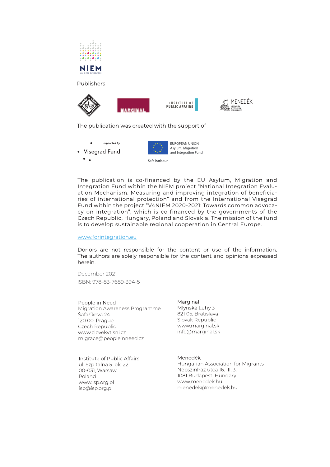







The publication was created with the support of





The publication is co-financed by the EU Asylum, Migration and Integration Fund within the NIEM project "National Integration Evaluation Mechanism. Measuring and improving integration of beneficia-<br>ries of international protection" and from the International Visegrad Fund within the project "V4NIEM 2020-2021: Towards common advocacy on integration", which is co-financed by the governments of the Czech Republic, Hungary, Poland and Slovakia. The mission of the fund is to develop sustainable regional cooperation in Central Europe.

#### www.forintegration.eu

Donors are not responsible for the content or use of the information. The authors are solely responsible for the content and opinions expressed herein.

December 2021 ISBN: 978-83-7689-394-5

#### People in Need

Migration Awareness Programme Šafaříkova 24 120 00, Prague Czech Republic www.clovekvtisni.cz migrace@peopleinneed.cz

#### Institute of Public Affairs

ul. Szpitalna 5 lok. 22 00-031, Warsaw Poland www.isp.org.pl isp@isp.org.pl

Marginal Mlynské Luhy 3 821 05, Bratislava Slovak Republic www.marginal.sk info@marginal.sk

#### Menedék

Hungarian Association for Migrants Népszínház utca 16. III. 3. 1081 Budapest, Hungary www.menedek.hu menedek@menedek.hu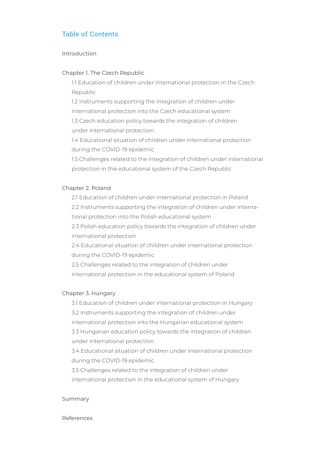# Table of Contents

#### Introduction

#### Chapter 1. The Czech Republic

1.1 Education of children under international protection in the Czech Republic

1.2 Instruments supporting the integration of children under international protection into the Czech educational system

1.3 Czech education policy towards the integration of children under international protection

1.4 Educational situation of children under international protection during the COVID-19 epidemic

1.5 Challenges related to the integration of children under international protection in the educational system of the Czech Republic

#### Chapter 2. Poland

2.1 Education of children under international protection in Poland 2.2 Instruments supporting the integration of children under international protection into the Polish educational system 2.3 Polish education policy towards the integration of children under international protection

2.4 Educational situation of children under international protection during the COVID-19 epidemic

2.5 Challenges related to the integration of children under international protection in the educational system of Poland

#### Chapter 3. Hungary

3.1 Education of children under international protection in Hungary 3.2 Instruments supporting the integration of children under international protection into the Hungarian educational system 3.3 Hungarian education policy towards the integration of children under international protection

3.4 Educational situation of children under international protection during the COVID-19 epidemic

3.5 Challenges related to the integration of children under international protection in the educational system of Hungary

#### Summary

#### References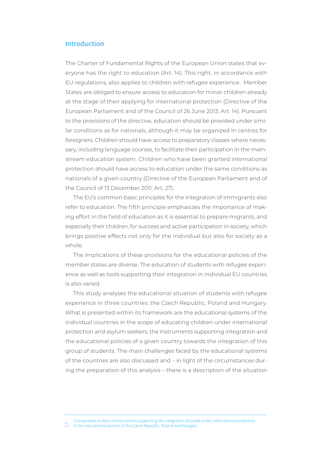### Introduction

The Charter of Fundamental Rights of the European Union states that everyone has the right to education (Art. 14). This right, in accordance with EU regulations, also applies to children with refugee experience. Member States are obliged to ensure access to education for minor children already at the stage of their applying for international protection (Directive of the European Parliament and of the Council of 26 June 2013, Art. 14). Pursuant to the provisions of the directive, education should be provided under similar conditions as for nationals, although it may be organized in centres for foreigners. Children should have access to preparatory classes where necessary, including language courses, to facilitate their participation in the mainstream education system. Children who have been granted international protection should have access to education under the same conditions as nationals of a given country (Directive of the European Parliament and of the Council of 13 December 2011, Art. 27).

The EU's common basic principles for the integration of immigrants also refer to education. The fifth principle emphasizes the importance of making effort in the field of education as it is essential to prepare migrants, and especially their children, for success and active participation in society, which brings positive effects not only for the individual but also for society as a whole.

The implications of these provisions for the educational policies of the member states are diverse. The education of students with refugee experience as well as tools supporting their integration in individual EU countries is also varied.

This study analyses the educational situation of students with refugee experience in three countries: the Czech Republic, Poland and Hungary. What is presented within its framework are the educational systems of the individual countries in the scope of educating children under international protection and asylum seekers, the instruments supporting integration and the educational policies of a given country towards the integration of this group of students. The main challenges faced by the educational systems of the countries are also discussed and – in light of the circumstances during the preparation of this analysis – there is a description of the situation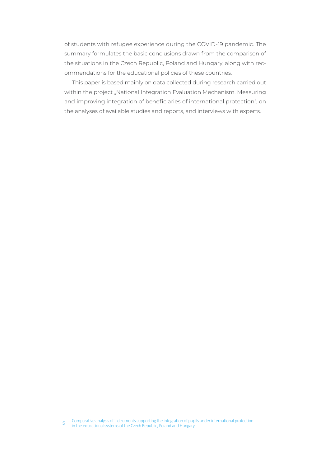of students with refugee experience during the COVID-19 pandemic. The summary formulates the basic conclusions drawn from the comparison of the situations in the Czech Republic, Poland and Hungary, along with recommendations for the educational policies of these countries.

This paper is based mainly on data collected during research carried out within the project "National Integration Evaluation Mechanism. Measuring and improving integration of beneficiaries of international protection", on the analyses of available studies and reports, and interviews with experts.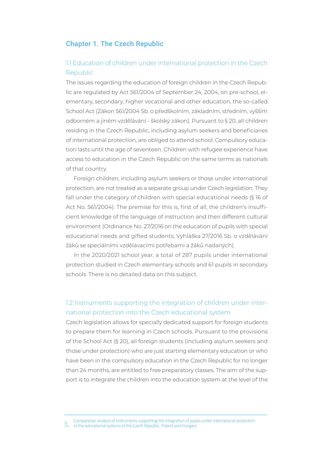#### Chapter 1. The Czech Republic

## 1.1 Education of children under international protection in the Czech Republic

The issues regarding the education of foreign children in the Czech Republic are regulated by Act 561/2004 of September 24, 2004, on pre-school, elementary, secondary, higher vocational and other education, the so-called School Act (Zákon 561/2004 Sb. o předškolním, základním, středním, vyšším odborném a jiném vzdělávání - školský zákon). Pursuant to § 20. all children residing in the Czech Republic, including asylum seekers and beneficiaries of international protection, are obliged to attend school. Compulsory education lasts until the age of seventeen. Children with refugee experience have access to education in the Czech Republic on the same terms as nationals of that country.

Foreign children, including asylum seekers or those under international protection, are not treated as a separate group under Czech legislation. They fall under the category of children with special educational needs (§ 16 of Act No. 561/2004). The premise for this is, first of all, the children's insufficient knowledge of the language of instruction and their different cultural environment (Ordinance No. 27/2016 on the education of pupils with special educational needs and gifted students; Vyhláška 27/2016 Sb. o vzdělávání žáků se speciálními vzdělávacími potřebami a žáků nadaných).

In the 2020/2021 school year, a total of 287 pupils under international protection studied in Czech elementary schools and 61 pupils in secondary schools. There is no detailed data on this subject.

## 1.2 Instruments supporting the integration of children under international protection into the Czech educational system

Czech legislation allows for specially dedicated support for foreign students to prepare them for learning in Czech schools. Pursuant to the provisions of the School Act (§ 20), all foreign students (including asylum seekers and those under protection) who are just starting elementary education or who have been in the compulsory education in the Czech Republic for no longer than 24 months, are entitled to free preparatory classes. The aim of the support is to integrate the children into the education system at the level of the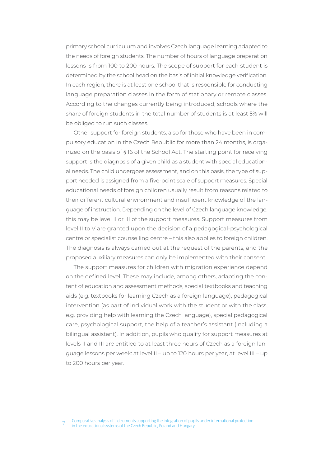primary school curriculum and involves Czech language learning adapted to the needs of foreign students. The number of hours of language preparation lessons is from 100 to 200 hours. The scope of support for each student is determined by the school head on the basis of initial knowledge verification. In each region, there is at least one school that is responsible for conducting language preparation classes in the form of stationary or remote classes. According to the changes currently being introduced, schools where the share of foreign students in the total number of students is at least 5% will be obliged to run such classes.

Other support for foreign students, also for those who have been in compulsory education in the Czech Republic for more than 24 months, is organized on the basis of § 16 of the School Act. The starting point for receiving support is the diagnosis of a given child as a student with special educational needs. The child undergoes assessment, and on this basis, the type of support needed is assigned from a five-point scale of support measures. Special educational needs of foreign children usually result from reasons related to their different cultural environment and insufficient knowledge of the language of instruction. Depending on the level of Czech language knowledge, this may be level II or III of the support measures. Support measures from level II to V are granted upon the decision of a pedagogical-psychological centre or specialist counselling centre – this also applies to foreign children. The diagnosis is always carried out at the request of the parents, and the proposed auxiliary measures can only be implemented with their consent.

The support measures for children with migration experience depend on the defined level. These may include, among others, adapting the content of education and assessment methods, special textbooks and teaching aids (e.g. textbooks for learning Czech as a foreign language), pedagogical intervention (as part of individual work with the student or with the class. e.g. providing help with learning the Czech language), special pedagogical care, psychological support, the help of a teacher's assistant (including a bilingual assistant). In addition, pupils who qualify for support measures at levels II and III are entitled to at least three hours of Czech as a foreign language lessons per week: at level II - up to 120 hours per year, at level III - up to 200 hours per year.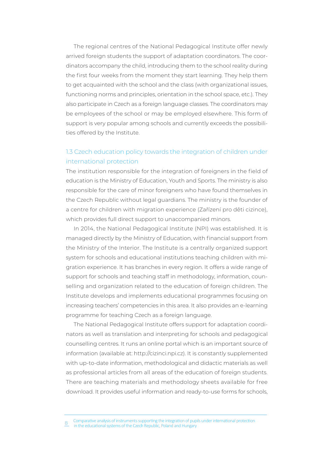The regional centres of the National Pedagogical Institute offer newly arrived foreign students the support of adaptation coordinators. The coordinators accompany the child, introducing them to the school reality during the first four weeks from the moment they start learning. They help them to get acquainted with the school and the class (with organizational issues, functioning norms and principles, orientation in the school space, etc.). They also participate in Czech as a foreign language classes. The coordinators may be employees of the school or may be employed elsewhere. This form of support is very popular among schools and currently exceeds the possibilities offered by the Institute.

# 1.3 Czech education policy towards the integration of children under international protection

The institution responsible for the integration of foreigners in the field of education is the Ministry of Education, Youth and Sports. The ministry is also responsible for the care of minor foreigners who have found themselves in the Czech Republic without legal guardians. The ministry is the founder of a centre for children with migration experience (Zařízení pro děti cizince), which provides full direct support to unaccompanied minors.

In 2014, the National Pedagogical Institute (NPI) was established. It is managed directly by the Ministry of Education, with financial support from the Ministry of the Interior. The Institute is a centrally organized support system for schools and educational institutions teaching children with migration experience. It has branches in every region. It offers a wide range of support for schools and teaching staff in methodology, information, counselling and organization related to the education of foreign children. The Institute develops and implements educational programmes focusing on increasing teachers' competencies in this area. It also provides an e-learning programme for teaching Czech as a foreign language.

The National Pedagogical Institute offers support for adaptation coordinators as well as translation and interpreting for schools and pedagogical counselling centres. It runs an online portal which is an important source of information (available at: http://cizinci.npi.cz). It is constantly supplemented with up-to-date information, methodological and didactic materials as well as professional articles from all areas of the education of foreign students. There are teaching materials and methodology sheets available for free download. It provides useful information and ready-to-use forms for schools,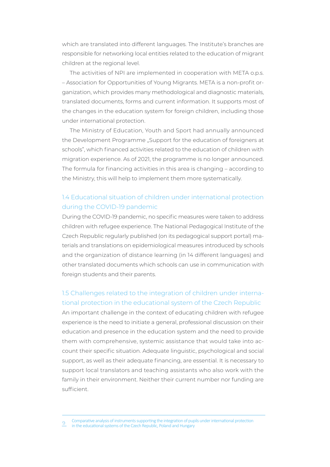which are translated into different languages. The Institute's branches are responsible for networking local entities related to the education of migrant children at the regional level.

The activities of NPI are implemented in cooperation with META o.p.s. - Association for Opportunities of Young Migrants. META is a non-profit organization, which provides many methodological and diagnostic materials, translated documents, forms and current information. It supports most of the changes in the education system for foreign children, including those under international protection.

The Ministry of Education, Youth and Sport had annually announced the Development Programme "Support for the education of foreigners at schools" which financed activities related to the education of children with migration experience. As of 2021, the programme is no longer announced. The formula for financing activities in this area is changing - according to the Ministry, this will help to implement them more systematically.

### 1.4 Educational situation of children under international protection during the COVID-19 pandemic

During the COVID-19 pandemic, no specific measures were taken to address children with refugee experience. The National Pedagogical Institute of the Czech Republic regularly published (on its pedagogical support portal) materials and translations on epidemiological measures introduced by schools and the organization of distance learning (in 14 different languages) and other translated documents which schools can use in communication with foreign students and their parents.

## 1.5 Challenges related to the integration of children under international protection in the educational system of the Czech Republic

An important challenge in the context of educating children with refugee experience is the need to initiate a general, professional discussion on their education and presence in the education system and the need to provide them with comprehensive, systemic assistance that would take into account their specific situation. Adequate linguistic, psychological and social support, as well as their adequate financing, are essential. It is necessary to support local translators and teaching assistants who also work with the family in their environment. Neither their current number nor funding are sufficient.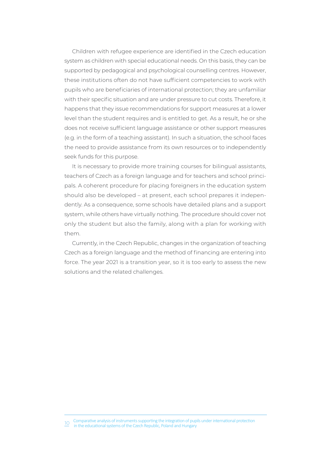Children with refugee experience are identified in the Czech education system as children with special educational needs. On this basis, they can be supported by pedagogical and psychological counselling centres. However, these institutions often do not have sufficient competencies to work with pupils who are beneficiaries of international protection; they are unfamiliar with their specific situation and are under pressure to cut costs. Therefore, it happens that they issue recommendations for support measures at a lower level than the student requires and is entitled to get. As a result, he or she does not receive sufficient language assistance or other support measures (e.g. in the form of a teaching assistant). In such a situation, the school faces the need to provide assistance from its own resources or to independently seek funds for this purpose.

It is necessary to provide more training courses for bilingual assistants, teachers of Czech as a foreign language and for teachers and school principals. A coherent procedure for placing foreigners in the education system should also be developed – at present, each school prepares it independently. As a consequence, some schools have detailed plans and a support system, while others have virtually nothing. The procedure should cover not only the student but also the family, along with a plan for working with them.

Currently, in the Czech Republic, changes in the organization of teaching Czech as a foreign language and the method of financing are entering into force. The year 2021 is a transition year, so it is too early to assess the new solutions and the related challenges.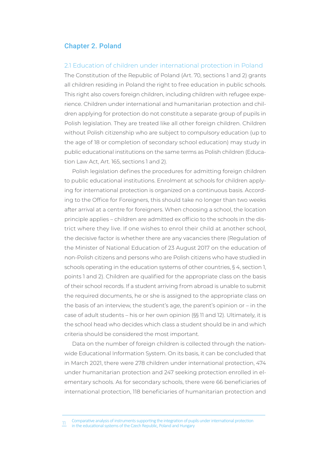#### Chapter 2. Poland

#### 2.1 Education of children under international protection in Poland

The Constitution of the Republic of Poland (Art. 70, sections 1 and 2) grants all children residing in Poland the right to free education in public schools. This right also covers foreign children, including children with refugee experience. Children under international and humanitarian protection and children applying for protection do not constitute a separate group of pupils in Polish legislation. They are treated like all other foreign children. Children without Polish citizenship who are subject to compulsory education (up to the age of 18 or completion of secondary school education) may study in public educational institutions on the same terms as Polish children (Education Law Act, Art. 165, sections 1 and 2).

Polish legislation defines the procedures for admitting foreign children to public educational institutions. Enrolment at schools for children applying for international protection is organized on a continuous basis. According to the Office for Foreigners, this should take no longer than two weeks after arrival at a centre for foreigners. When choosing a school, the location principle applies – children are admitted ex officio to the schools in the district where they live. If one wishes to enrol their child at another school, the decisive factor is whether there are any vacancies there (Regulation of the Minister of National Education of 23 August 2017 on the education of non-Polish citizens and persons who are Polish citizens who have studied in schools operating in the education systems of other countries, § 4, section 1, points 1 and 2). Children are qualified for the appropriate class on the basis of their school records. If a student arriving from abroad is unable to submit the required documents, he or she is assigned to the appropriate class on the basis of an interview, the student's age, the parent's opinion or – in the case of adult students - his or her own opinion (§§ 11 and 12). Ultimately, it is the school head who decides which class a student should be in and which criteria should be considered the most important.

Data on the number of foreign children is collected through the nationwide Educational Information System. On its basis, it can be concluded that in March 2021, there were 278 children under international protection, 474 under humanitarian protection and 247 seeking protection enrolled in elementary schools. As for secondary schools, there were 66 beneficiaries of international protection, 118 beneficiaries of humanitarian protection and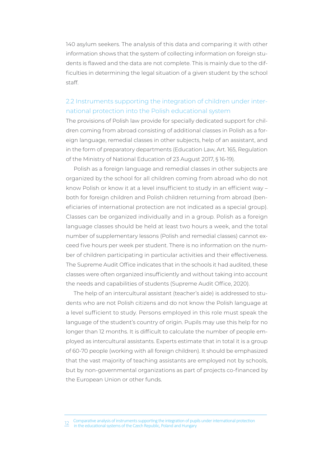140 asylum seekers. The analysis of this data and comparing it with other information shows that the system of collecting information on foreign students is flawed and the data are not complete. This is mainly due to the difficulties in determining the legal situation of a given student by the school staff.

### 2.2 Instruments supporting the integration of children under international protection into the Polish educational system

The provisions of Polish law provide for specially dedicated support for children coming from abroad consisting of additional classes in Polish as a foreign language, remedial classes in other subjects, help of an assistant, and in the form of preparatory departments (Education Law, Art. 165, Regulation of the Ministry of National Education of 23 August 2017, § 16-19).

Polish as a foreign language and remedial classes in other subjects are organized by the school for all children coming from abroad who do not know Polish or know it at a level insufficient to study in an efficient way both for foreign children and Polish children returning from abroad (beneficiaries of international protection are not indicated as a special group). Classes can be organized individually and in a group. Polish as a foreign language classes should be held at least two hours a week, and the total number of supplementary lessons (Polish and remedial classes) cannot exceed five hours per week per student. There is no information on the number of children participating in particular activities and their effectiveness. The Supreme Audit Office indicates that in the schools it had audited, these classes were often organized insufficiently and without taking into account the needs and capabilities of students (Supreme Audit Office, 2020).

The help of an intercultural assistant (teacher's aide) is addressed to students who are not Polish citizens and do not know the Polish language at a level sufficient to study. Persons employed in this role must speak the language of the student's country of origin. Pupils may use this help for no longer than 12 months. It is difficult to calculate the number of people employed as intercultural assistants. Experts estimate that in total it is a group of 60-70 people (working with all foreign children). It should be emphasized that the vast majority of teaching assistants are employed not by schools, but by non-governmental organizations as part of projects co-financed by the European Union or other funds.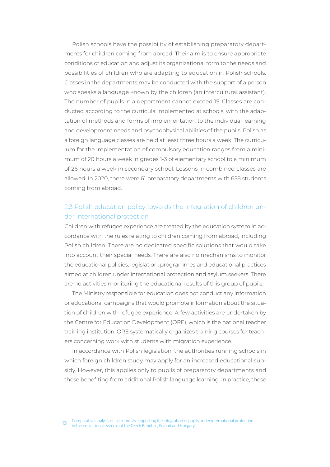Polish schools have the possibility of establishing preparatory departments for children coming from abroad. Their aim is to ensure appropriate conditions of education and adjust its organizational form to the needs and possibilities of children who are adapting to education in Polish schools. Classes in the departments may be conducted with the support of a person who speaks a language known by the children (an intercultural assistant). The number of pupils in a department cannot exceed 15. Classes are conducted according to the curricula implemented at schools, with the adaptation of methods and forms of implementation to the individual learning and development needs and psychophysical abilities of the pupils. Polish as a foreign language classes are held at least three hours a week. The curriculum for the implementation of compulsory education ranges from a minimum of 20 hours a week in grades 1-3 of elementary school to a minimum of 26 hours a week in secondary school. Lessons in combined classes are allowed. In 2020, there were 61 preparatory departments with 658 students coming from abroad.

## 2.3 Polish education policy towards the integration of children under international protection

Children with refugee experience are treated by the education system in accordance with the rules relating to children coming from abroad, including Polish children. There are no dedicated specific solutions that would take into account their special needs. There are also no mechanisms to monitor the educational policies, legislation, programmes and educational practices aimed at children under international protection and asylum seekers. There are no activities monitoring the educational results of this group of pupils.

The Ministry responsible for education does not conduct any information or educational campaigns that would promote information about the situation of children with refugee experience. A few activities are undertaken by the Centre for Education Development (ORE), which is the national teacher training institution. ORE systematically organizes training courses for teachers concerning work with students with migration experience.

In accordance with Polish legislation, the authorities running schools in which foreign children study may apply for an increased educational subsidy. However, this applies only to pupils of preparatory departments and those benefiting from additional Polish language learning. In practice, these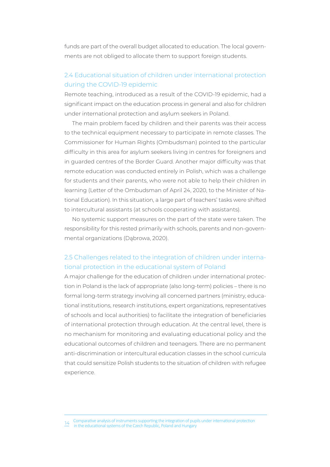funds are part of the overall budget allocated to education. The local governments are not obliged to allocate them to support foreign students.

## 2.4 Educational situation of children under international protection during the COVID-19 epidemic

Remote teaching, introduced as a result of the COVID-19 epidemic, had a significant impact on the education process in general and also for children under international protection and asylum seekers in Poland.

The main problem faced by children and their parents was their access to the technical equipment necessary to participate in remote classes. The Commissioner for Human Rights (Ombudsman) pointed to the particular difficulty in this area for asylum seekers living in centres for foreigners and in quarded centres of the Border Guard. Another major difficulty was that remote education was conducted entirely in Polish, which was a challenge for students and their parents, who were not able to help their children in learning (Letter of the Ombudsman of April 24, 2020, to the Minister of National Education). In this situation, a large part of teachers' tasks were shifted to intercultural assistants (at schools cooperating with assistants).

No systemic support measures on the part of the state were taken. The responsibility for this rested primarily with schools, parents and non-governmental organizations (Dąbrowa, 2020).

## 2.5 Challenges related to the integration of children under international protection in the educational system of Poland

A major challenge for the education of children under international protection in Poland is the lack of appropriate (also long-term) policies – there is no formal long-term strategy involving all concerned partners (ministry, educational institutions, research institutions, expert organizations, representatives of schools and local authorities) to facilitate the integration of beneficiaries of international protection through education. At the central level, there is no mechanism for monitoring and evaluating educational policy and the educational outcomes of children and teenagers. There are no permanent anti-discrimination or intercultural education classes in the school curricula that could sensitize Polish students to the situation of children with refugee experience.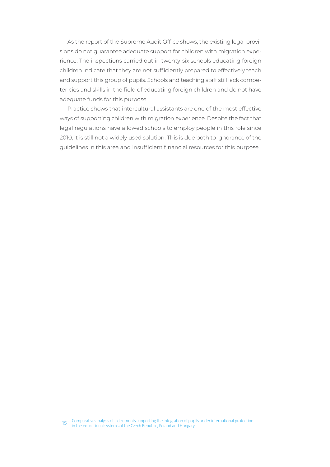As the report of the Supreme Audit Office shows, the existing legal provisions do not guarantee adequate support for children with migration experience. The inspections carried out in twenty-six schools educating foreign children indicate that they are not sufficiently prepared to effectively teach and support this group of pupils. Schools and teaching staff still lack competencies and skills in the field of educating foreign children and do not have adequate funds for this purpose.

Practice shows that intercultural assistants are one of the most effective ways of supporting children with migration experience. Despite the fact that legal regulations have allowed schools to employ people in this role since 2010, it is still not a widely used solution. This is due both to ignorance of the guidelines in this area and insufficient financial resources for this purpose.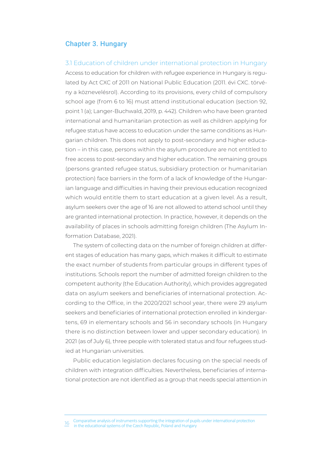#### Chapter 3. Hungary

#### 3.1 Education of children under international protection in Hungary

Access to education for children with refugee experience in Hungary is regulated by Act CXC of 2011 on National Public Education (2011. évi CXC. törvény a köznevelésrol). According to its provisions, every child of compulsory school age (from 6 to 16) must attend institutional education (section 92, point 1 (a); Langer-Buchwald, 2019, p. 442). Children who have been granted international and humanitarian protection as well as children applying for refugee status have access to education under the same conditions as Hungarian children. This does not apply to post-secondary and higher education – in this case, persons within the asylum procedure are not entitled to free access to post-secondary and higher education. The remaining groups (persons granted refugee status, subsidiary protection or humanitarian protection) face barriers in the form of a lack of knowledge of the Hungarian language and difficulties in having their previous education recognized which would entitle them to start education at a given level. As a result, asylum seekers over the age of 16 are not allowed to attend school until they are granted international protection. In practice, however, it depends on the availability of places in schools admitting foreign children (The Asylum Information Database, 2021).

The system of collecting data on the number of foreign children at different stages of education has many gaps, which makes it difficult to estimate the exact number of students from particular groups in different types of institutions. Schools report the number of admitted foreign children to the competent authority (the Education Authority), which provides aggregated data on asylum seekers and beneficiaries of international protection. According to the Office, in the 2020/2021 school year, there were 29 asylum seekers and beneficiaries of international protection enrolled in kindergartens, 69 in elementary schools and 56 in secondary schools (in Hungary there is no distinction between lower and upper secondary education). In 2021 (as of July 6), three people with tolerated status and four refugees studied at Hungarian universities.

Public education legislation declares focusing on the special needs of children with integration difficulties. Nevertheless, beneficiaries of international protection are not identified as a group that needs special attention in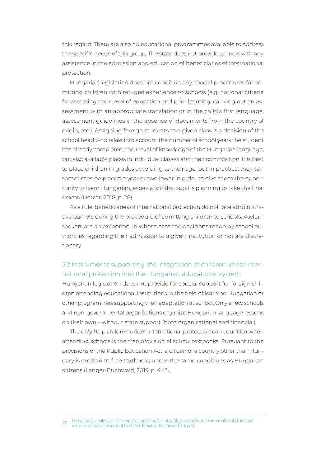this regard. There are also no educational programmes available to address the specific needs of this group. The state does not provide schools with any assistance in the admission and education of beneficiaries of international protection.

Hungarian legislation does not condition any special procedures for admitting children with refugee experience to schools (e.g. national criteria for assessing their level of education and prior learning, carrying out an assessment with an appropriate translation or in the child's first language, assessment guidelines in the absence of documents from the country of origin, etc.). Assigning foreign students to a given class is a decision of the school head who takes into account the number of school years the student has already completed, their level of knowledge of the Hungarian language, but also available places in individual classes and their composition. It is best to place children in grades according to their age, but in practice, they can sometimes be placed a year or two lower in order to give them the opportunity to learn Hungarian, especially if the pupil is planning to take the final exams (Hetzer, 2018, p. 28).

As a rule, beneficiaries of international protection do not face administrative barriers during the procedure of admitting children to schools. Asylum seekers are an exception, in whose case the decisions made by school authorities regarding their admission to a given institution or not are discretionary.

### 3.2 Instruments supporting the integration of children under international protection into the Hungarian educational system

Hungarian legislation does not provide for special support for foreign children attending educational institutions in the field of learning Hungarian or other programmes supporting their adaptation at school. Only a few schools and non-governmental organizations organize Hungarian language lessons on their own – without state support (both organizational and financial).

The only help children under international protection can count on when attending schools is the free provision of school textbooks. Pursuant to the provisions of the Public Education Act, a citizen of a country other than Hungary is entitled to free textbooks under the same conditions as Hungarian citizens (Langer-Buchwald, 2019, p. 442).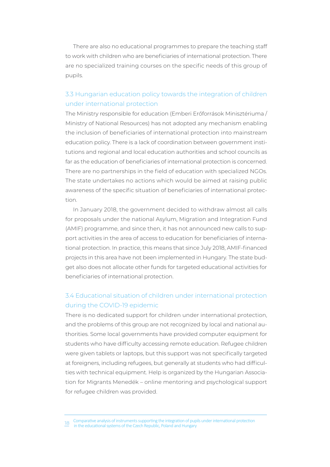There are also no educational programmes to prepare the teaching staff to work with children who are beneficiaries of international protection. There are no specialized training courses on the specific needs of this group of pupils.

## 3.3 Hungarian education policy towards the integration of children under international protection

The Ministry responsible for education (Emberi Erőforrások Minisztériuma/ Ministry of National Resources) has not adopted any mechanism enabling the inclusion of beneficiaries of international protection into mainstream education policy. There is a lack of coordination between government institutions and regional and local education authorities and school councils as far as the education of beneficiaries of international protection is concerned. There are no partnerships in the field of education with specialized NGOs. The state undertakes no actions which would be aimed at raising public awareness of the specific situation of beneficiaries of international protection.

In January 2018, the government decided to withdraw almost all calls for proposals under the national Asylum, Migration and Integration Fund (AMIF) programme, and since then, it has not announced new calls to support activities in the area of access to education for beneficiaries of international protection. In practice, this means that since July 2018, AMIF-financed projects in this area have not been implemented in Hungary. The state budget also does not allocate other funds for targeted educational activities for beneficiaries of international protection.

## 3.4 Educational situation of children under international protection during the COVID-19 epidemic

There is no dedicated support for children under international protection, and the problems of this group are not recognized by local and national authorities. Some local governments have provided computer equipment for students who have difficulty accessing remote education. Refugee children were given tablets or laptops, but this support was not specifically targeted at foreigners, including refugees, but generally at students who had difficulties with technical equipment. Help is organized by the Hungarian Association for Migrants Menedék – online mentoring and psychological support for refugee children was provided.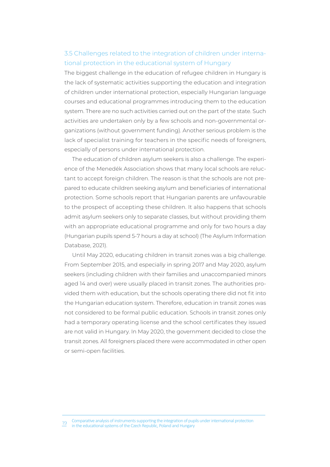### 3.5 Challenges related to the integration of children under international protection in the educational system of Hungary

The biggest challenge in the education of refugee children in Hungary is the lack of systematic activities supporting the education and integration of children under international protection, especially Hungarian language courses and educational programmes introducing them to the education system. There are no such activities carried out on the part of the state. Such activities are undertaken only by a few schools and non-governmental organizations (without government funding). Another serious problem is the lack of specialist training for teachers in the specific needs of foreigners. especially of persons under international protection.

The education of children asylum seekers is also a challenge. The experience of the Menedék Association shows that many local schools are reluctant to accept foreign children. The reason is that the schools are not prepared to educate children seeking asylum and beneficiaries of international protection. Some schools report that Hungarian parents are unfavourable to the prospect of accepting these children. It also happens that schools admit asylum seekers only to separate classes, but without providing them with an appropriate educational programme and only for two hours a day (Hungarian pupils spend 5-7 hours a day at school) (The Asylum Information Database, 2021).

Until May 2020, educating children in transit zones was a big challenge. From September 2015, and especially in spring 2017 and May 2020, asylum seekers (including children with their families and unaccompanied minors aged 14 and over) were usually placed in transit zones. The authorities provided them with education, but the schools operating there did not fit into the Hungarian education system. Therefore, education in transit zones was not considered to be formal public education. Schools in transit zones only had a temporary operating license and the school certificates they issued are not valid in Hungary. In May 2020, the government decided to close the transit zones. All foreigners placed there were accommodated in other open or semi-open facilities.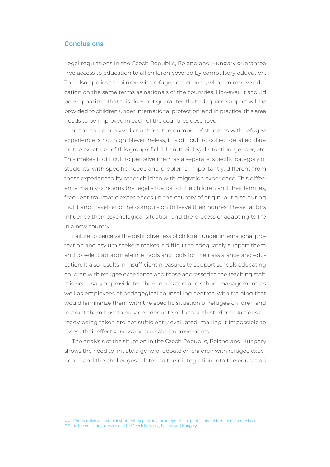#### **Conclusions**

Legal regulations in the Czech Republic, Poland and Hungary guarantee free access to education to all children covered by compulsory education. This also applies to children with refugee experience, who can receive education on the same terms as nationals of the countries. However, it should be emphasized that this does not guarantee that adequate support will be provided to children under international protection, and in practice, this area needs to be improved in each of the countries described.

In the three analysed countries, the number of students with refugee experience is not high. Nevertheless, it is difficult to collect detailed data on the exact size of this group of children, their legal situation, gender, etc. This makes it difficult to perceive them as a separate, specific category of students, with specific needs and problems, importantly, different from those experienced by other children with migration experience. This difference mainly concerns the legal situation of the children and their families, frequent traumatic experiences (in the country of origin, but also during flight and travel) and the compulsion to leave their homes. These factors influence their psychological situation and the process of adapting to life in a new country.

Failure to perceive the distinctiveness of children under international protection and asylum seekers makes it difficult to adequately support them and to select appropriate methods and tools for their assistance and education. It also results in insufficient measures to support schools educating children with refugee experience and those addressed to the teaching staff. It is necessary to provide teachers, educators and school management, as well as employees of pedagogical counselling centres, with training that would familiarize them with the specific situation of refugee children and instruct them how to provide adequate help to such students. Actions already being taken are not sufficiently evaluated, making it impossible to assess their effectiveness and to make improvements.

The analysis of the situation in the Czech Republic, Poland and Hungary shows the need to initiate a general debate on children with refugee experience and the challenges related to their integration into the education

 $20$  Comparative analysis of instruments supporting the integration of pupils under international protection<br> $\overline{2}^\bullet$  in the educational systems of the Czech Republic, Poland and Hungary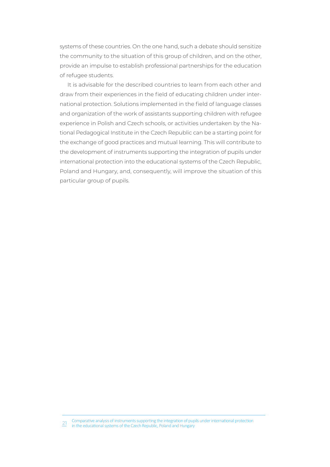systems of these countries. On the one hand, such a debate should sensitize the community to the situation of this group of children, and on the other, provide an impulse to establish professional partnerships for the education of refugee students.

It is advisable for the described countries to learn from each other and draw from their experiences in the field of educating children under international protection. Solutions implemented in the field of language classes and organization of the work of assistants supporting children with refugee experience in Polish and Czech schools, or activities undertaken by the National Pedagogical Institute in the Czech Republic can be a starting point for the exchange of good practices and mutual learning. This will contribute to the development of instruments supporting the integration of pupils under international protection into the educational systems of the Czech Republic, Poland and Hungary, and, consequently, will improve the situation of this particular group of pupils.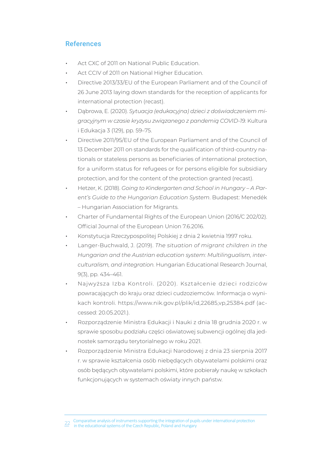# References

- Act CXC of 2011 on National Public Education.
- Act CCIV of 2011 on National Higher Education.
- Directive 2013/33/EU of the European Parliament and of the Council of 26 June 2013 laying down standards for the reception of applicants for international protection (recast).
- Dąbrowa, E. (2020). Sytuacja (edukacyjna) dzieci z doświadczeniem mi*ǐȲƊƧɯǯȁɯǿɩƧɹƊȺǞƵDzȲɯɹɯȺɐɹɩǞƠɹƊȁƵǐȌɹȯƊȁƮƵǿǞƠ!ßX(٧ىפל* Kultura i Edukacja 3 (129), pp. 59-75.
- Directive 2011/95/EU of the European Parliament and of the Council of 13 December 2011 on standards for the qualification of third-country nationals or stateless persons as beneficiaries of international protection, for a uniform status for refugees or for persons eligible for subsidiary protection, and for the content of the protection granted (recast).
- Hetzer, K. (2018). *Going to Kindergarten and School in Hungary A Parent's Guide to the Hungarian Education System. Budapest: Menedék* – Hungarian Association for Migrants.
- Charter of Fundamental Rights of the European Union (2016/C 202/02). Official Journal of the European Union 7.6.2016.
- Konstytucja Rzeczypospolitej Polskiej z dnia 2 kwietnia 1997 roku.
- Langer-Buchwald, J. (2019). The situation of migrant children in the *Hungarian and the Austrian education system: Multilingualism, inter-ƧɐǶɈɐȲƊǶǞȺǿلƊȁƮǞȁɈƵǐȲƊɈǞȌȁى* Hungarian Educational Research Journal, 9(3), pp. 434–461.
- Najwyższa Izba Kontroli. (2020). Kształcenie dzieci rodziców powracających do krajų oraz dzieci cudzoziemców. Informacia o wynikach kontroli. https://www.nik.gov.pl/plik/id.22685.yp.25384.pdf (accessed: 20.05.2021.).
- Rozporządzenie Ministra Edukacji i Nauki z dnia 18 grudnia 2020 r. w sprawie sposobu podziału części oświatowej subwencji ogólnej dla jednostek samorządu terytorialnego w roku 2021.
- Rozporządzenie Ministra Edukacji Narodowej z dnia 23 sierpnia 2017 r. w sprawie kształcenia osób niebędących obywatelami polskimi oraz osób będących obywatelami polskimi, które pobierały naukę w szkołach funkcjonujących w systemach oświaty innych państw.